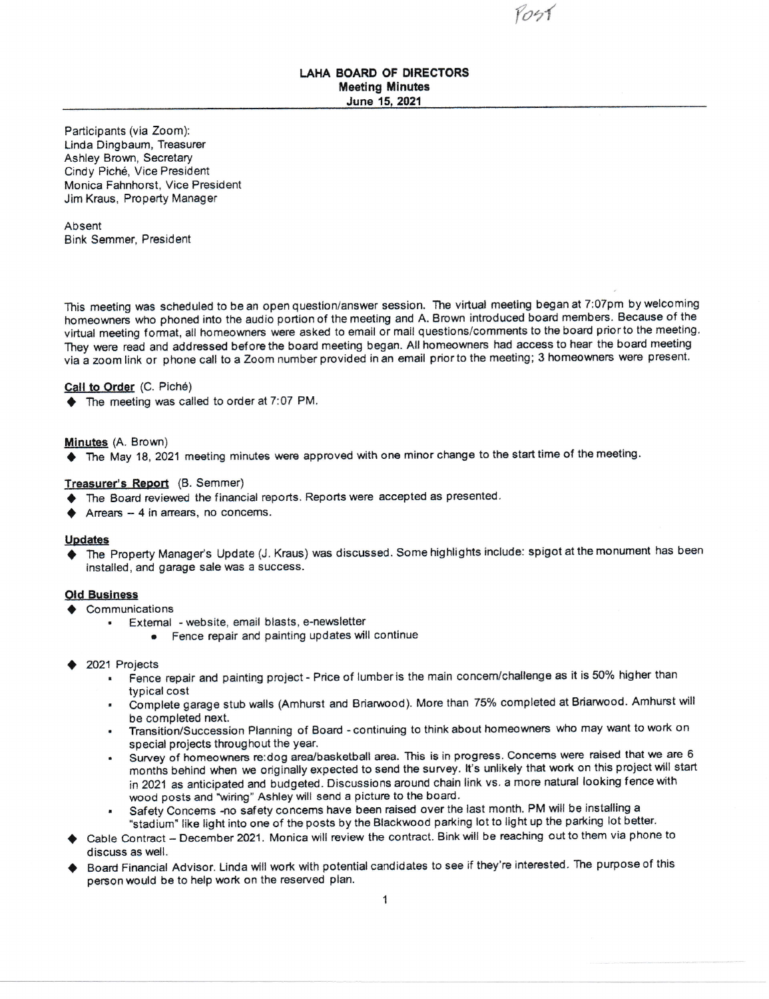(oo{

# LAHA BOARD OF DIRECTORS Meeting Minutes June 15, 2021

Participants (via Zoom): Linda Dingbaum, Treasurer Ashley Brown, Secretary Cindy Pich6, Vice President Monica Fahnhorst, Vice President Jim Kraus, Property Manager

Absent Bink Semmer, President

This meeting was scheduled to be an open question/answer session. The virtual meeting began at 7:07pm by welcoming homeowners who phoned into the audio portion of the meeting and A. Brown introduced board members. Because of the virtual meeting format, all homeowners were asked to email or mail questions/comments to the board prior to the meeting. They were read and addressed before the board meeting began. All homeowners had access to hear the board meeting via a zoom link or phone call to a Zoom number provided in an email prior to the meeting; 3 homeowners were present.

# Call to Order (C. Piché)

 $\blacklozenge$  The meeting was called to order at 7:07 PM.

### Minutes (A. Brown)

♦ The May 18, 2021 meeting minutes were approved with one minor change to the start time of the meeting.

## Treasurer's Report (B. Semmer)

- $\blacklozenge$  The Board reviewed the financial reports. Reports were accepted as presented.
- Arrears  $-4$  in arrears, no concems.

#### **Updates**

The Property Manager's Update (J. Kraus) was discussed. Some highlights include: spigot at the monument has been installed, and garage sale was a success.

- Old Business<br>  $\triangleleft$  Communications
	- . Extemal websiie, email blasts, e-newsletter
		- Fence repair and painting updates will continue
- 2021 Projects
	- Fence repair and painting project Price of lumber is the main concern/challenge as it is 50% higher than typical cost
	- Complete garage stub walls (Amhurst and Briarwood). More than 75% completed at Briarwood. Amhurst will be completed next.
	- . Transition/Succession Planning of Board continuing to think about homeowners who may wani to work o <sup>n</sup> special projects throughout the year.
	- . Survey of homeowners re:dog arealbasketball area. This is in progress. Concems were raised that we are <sup>6</sup> months behind when we onginally expected to send the survey. lt's unlikely that work on this project will start in 2021 as anticipated and budgeted. Discussions around chain link vs. a more natural looking fence with wood posts and 'wiring" Ashley will send a picture to the board.
	- Safety Concems -no safety concems have been raised over the last month. PM will be installing a "stadium" like light into one of the posts by the Blackwood parking lot to light up the parking lot better.
- Cable Contract December 2021. Monica will review the contract. Bink will be reaching out to them via phone to discuss as well.
- Board Financial Advisor. Linda will work with potential candidates to see if they're interested. The purpose of this person would be to help work on the reserved plan.